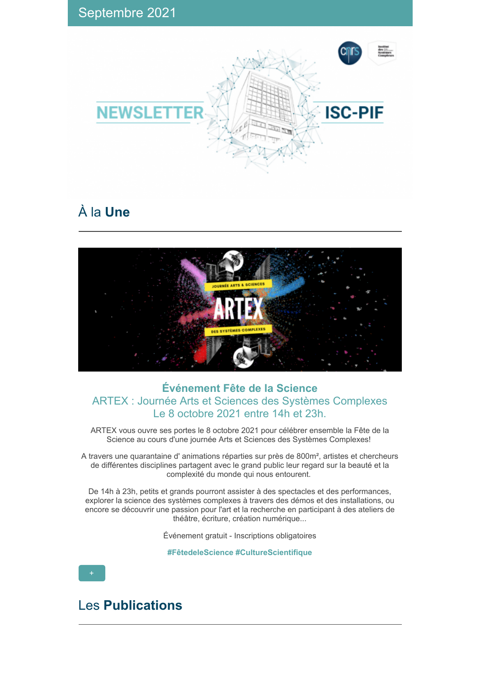

# À la **Une**



### **Événement Fête de la Science** ARTEX : Journée Arts et Sciences des Systèmes Complexes Le 8 octobre 2021 entre 14h et 23h.

ARTEX vous ouvre ses portes le 8 octobre 2021 pour célébrer ensemble la Fête de la Science au cours d'une journée Arts et Sciences des Systèmes Complexes!

A travers une quarantaine d' animations réparties sur près de 800m², artistes et chercheurs de différentes disciplines partagent avec le grand public leur regard sur la beauté et la complexité du monde qui nous entourent.

De 14h à 23h, petits et grands pourront assister à des spectacles et des performances, explorer la science des systèmes complexes à travers des démos et des installations, ou encore se découvrir une passion pour l'art et la recherche en participant à des ateliers de théâtre, écriture, création numérique...

Événement gratuit - Inscriptions obligatoires

**#FêtedeleScience #CultureScientifique**

Les **Publications**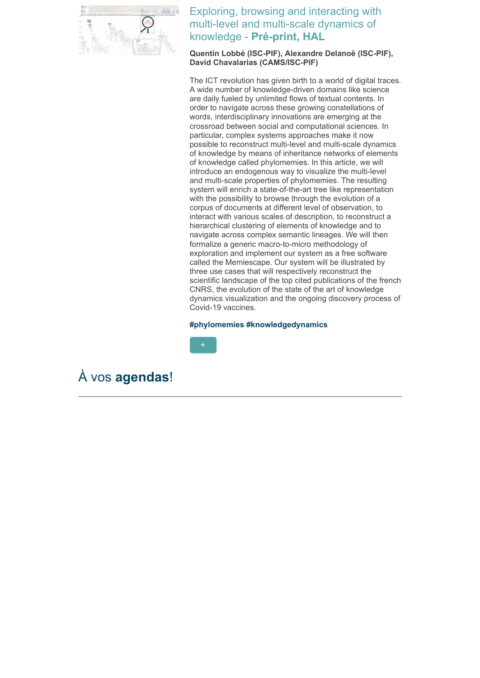

Exploring, browsing and interacting with multi-level and multi-scale dynamics of knowledge - **Pré-print, HAL**

**Quentin Lobbé (ISC-PIF), Alexandre Delanoë (ISC-PIF), David Chavalarias (CAMS/ISC-PIF)**

The ICT revolution has given birth to a world of digital traces. A wide number of knowledge-driven domains like science are daily fueled by unlimited flows of textual contents. In order to navigate across these growing constellations of words, interdisciplinary innovations are emerging at the crossroad between social and computational sciences. In particular, complex systems approaches make it now possible to reconstruct multi-level and multi-scale dynamics of knowledge by means of inheritance networks of elements of knowledge called phylomemies. In this article, we will introduce an endogenous way to visualize the multi-level and multi-scale properties of phylomemies. The resulting system will enrich a state-of-the-art tree like representation with the possibility to browse through the evolution of a corpus of documents at different level of observation, to interact with various scales of description, to reconstruct a hierarchical clustering of elements of knowledge and to navigate across complex semantic lineages. We will then formalize a generic macro-to-micro methodology of exploration and implement our system as a free software called the Memiescape. Our system will be illustrated by three use cases that will respectively reconstruct the scientific landscape of the top cited publications of the french CNRS, the evolution of the state of the art of knowledge dynamics visualization and the ongoing discovery process of Covid-19 vaccines.

#### **#phylomemies #knowledgedynamics**



## À vos **agendas**!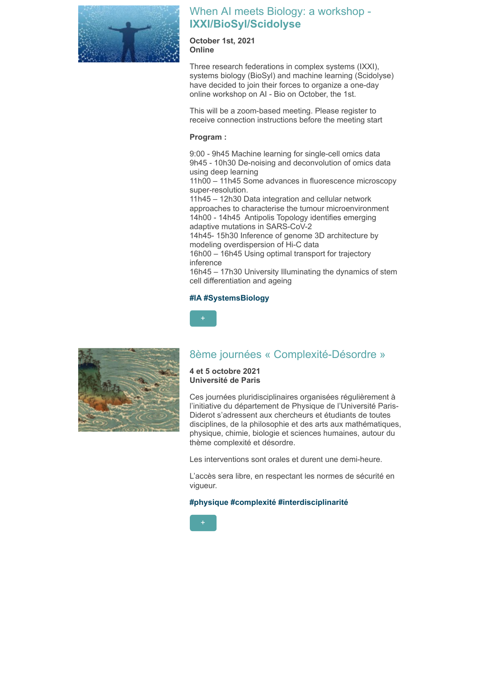

### When AI meets Biology: a workshop - **IXXI/BioSyl/Scidolyse**

**October 1st, 2021 Online**

Three research federations in complex systems (IXXI), systems biology (BioSyl) and machine learning (Scidolyse) have decided to join their forces to organize a one-day online workshop on AI - Bio on October, the 1st.

This will be a zoom-based meeting. Please register to receive connection instructions before the meeting start

### **Program :**

9:00 - 9h45 Machine learning for single-cell omics data 9h45 - 10h30 De-noising and deconvolution of omics data using deep learning

11h00 – 11h45 Some advances in fluorescence microscopy super-resolution.

11h45 – 12h30 Data integration and cellular network approaches to characterise the tumour microenvironment 14h00 - 14h45 Antipolis Topology identifies emerging adaptive mutations in SARS-CoV-2

14h45- 15h30 Inference of genome 3D architecture by modeling overdispersion of Hi-C data

16h00 – 16h45 Using optimal transport for trajectory inference

16h45 – 17h30 University Illuminating the dynamics of stem cell differentiation and ageing

### **#IA #SystemsBiology**





### 8ème journées « Complexité-Désordre »

**4 et 5 octobre 2021 Université de Paris**

Ces journées pluridisciplinaires organisées régulièrement à l'initiative du département de Physique de l'Université Paris-Diderot s'adressent aux chercheurs et étudiants de toutes disciplines, de la philosophie et des arts aux mathématiques, physique, chimie, biologie et sciences humaines, autour du thème complexité et désordre.

Les interventions sont orales et durent une demi-heure.

L'accès sera libre, en respectant les normes de sécurité en vigueur.

#### **#physique #complexité #interdisciplinarité**

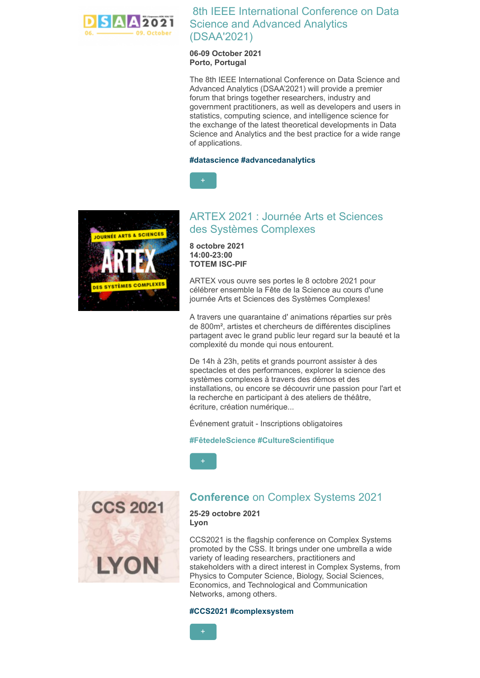

8th IEEE International Conference on Data Science and Advanced Analytics (DSAA'2021)

#### **06-09 October 2021 Porto, Portugal**

The 8th IEEE International Conference on Data Science and Advanced Analytics (DSAA'2021) will provide a premier forum that brings together researchers, industry and government practitioners, as well as developers and users in statistics, computing science, and intelligence science for the exchange of the latest theoretical developments in Data Science and Analytics and the best practice for a wide range of applications.

#### **#datascience #advancedanalytics**





### ARTEX 2021 : Journée Arts et Sciences des Systèmes Complexes

**8 octobre 2021 14:00-23:00 TOTEM ISC-PIF**

ARTEX vous ouvre ses portes le 8 octobre 2021 pour célébrer ensemble la Fête de la Science au cours d'une journée Arts et Sciences des Systèmes Complexes!

A travers une quarantaine d' animations réparties sur près de 800m², artistes et chercheurs de différentes disciplines partagent avec le grand public leur regard sur la beauté et la complexité du monde qui nous entourent.

De 14h à 23h, petits et grands pourront assister à des spectacles et des performances, explorer la science des systèmes complexes à travers des démos et des installations, ou encore se découvrir une passion pour l'art et la recherche en participant à des ateliers de théâtre, écriture, création numérique...

Événement gratuit - Inscriptions obligatoires

**#FêtedeleScience #CultureScientifique**





### **Conference** on Complex Systems 2021

**25-29 octobre 2021 Lyon**

CCS2021 is the flagship conference on Complex Systems promoted by the CSS. It brings under one umbrella a wide variety of leading researchers, practitioners and stakeholders with a direct interest in Complex Systems, from Physics to Computer Science, Biology, Social Sciences, Economics, and Technological and Communication Networks, among others.

#### **#CCS2021 #complexsystem**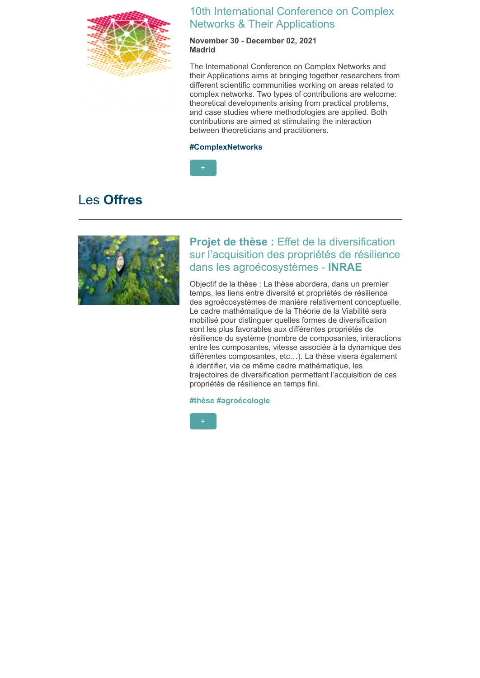

### 10th International Conference on Complex Networks & Their Applications

**November 30 - December 02, 2021 Madrid**

The International Conference on Complex Networks and their Applications aims at bringing together researchers from different scientific communities working on areas related to complex networks. Two types of contributions are welcome: theoretical developments arising from practical problems, and case studies where methodologies are applied. Both contributions are aimed at stimulating the interaction between theoreticians and practitioners.

#### **#ComplexNetworks**



## Les **Offres**



### **Projet de thèse :** Effet de la diversification sur l'acquisition des propriétés de résilience dans les agroécosystèmes - **INRAE**

Objectif de la thèse : La thèse abordera, dans un premier temps, les liens entre diversité et propriétés de résilience des agroécosystèmes de manière relativement conceptuelle. Le cadre mathématique de la Théorie de la Viabilité sera mobilisé pour distinguer quelles formes de diversification sont les plus favorables aux différentes propriétés de résilience du système (nombre de composantes, interactions entre les composantes, vitesse associée à la dynamique des différentes composantes, etc…). La thèse visera également à identifier, via ce même cadre mathématique, les trajectoires de diversification permettant l'acquisition de ces propriétés de résilience en temps fini.

**#thèse #agroécologie**

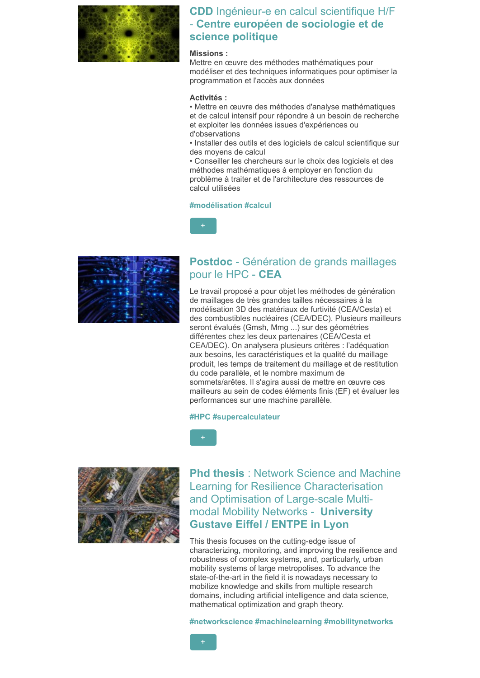

### **CDD** Ingénieur-e en calcul scientifique H/F - **Centre européen de sociologie et de science politique**

### **Missions :**

Mettre en œuvre des méthodes mathématiques pour modéliser et des techniques informatiques pour optimiser la programmation et l'accès aux données

#### **Activités :**

• Mettre en œuvre des méthodes d'analyse mathématiques et de calcul intensif pour répondre à un besoin de recherche et exploiter les données issues d'expériences ou d'observations

• Installer des outils et des logiciels de calcul scientifique sur des moyens de calcul

• Conseiller les chercheurs sur le choix des logiciels et des méthodes mathématiques à employer en fonction du problème à traiter et de l'architecture des ressources de calcul utilisées

#### **#modélisation #calcul**



### **Postdoc** - Génération de grands maillages pour le HPC - **CEA**

Le travail proposé a pour objet les méthodes de génération de maillages de très grandes tailles nécessaires à la modélisation 3D des matériaux de furtivité (CEA/Cesta) et des combustibles nucléaires (CEA/DEC). Plusieurs mailleurs seront évalués (Gmsh, Mmg ...) sur des géométries différentes chez les deux partenaires (CEA/Cesta et CEA/DEC). On analysera plusieurs critères : l'adéquation aux besoins, les caractéristiques et la qualité du maillage produit, les temps de traitement du maillage et de restitution du code parallèle, et le nombre maximum de sommets/arêtes. Il s'agira aussi de mettre en œuvre ces mailleurs au sein de codes éléments finis (EF) et évaluer les performances sur une machine parallèle.

#### **#HPC #supercalculateur**



**Phd thesis** : Network Science and Machine Learning for Resilience Characterisation and Optimisation of Large-scale Multimodal Mobility Networks - **University Gustave Eiffel / ENTPE in Lyon**

This thesis focuses on the cutting-edge issue of characterizing, monitoring, and improving the resilience and robustness of complex systems, and, particularly, urban mobility systems of large metropolises. To advance the state-of-the-art in the field it is nowadays necessary to mobilize knowledge and skills from multiple research domains, including artificial intelligence and data science, mathematical optimization and graph theory.

**#networkscience #machinelearning #mobilitynetworks**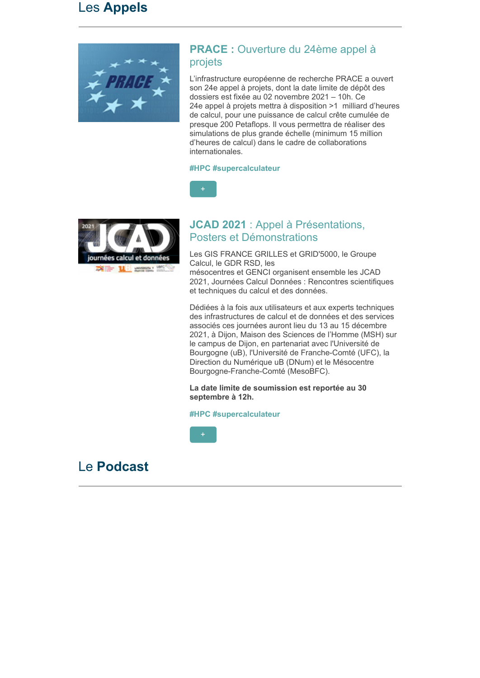## Les **Appels**



### **PRACE :** Ouverture du 24ème appel à projets

L'infrastructure européenne de recherche PRACE a ouvert son 24e appel à projets, dont la date limite de dépôt des dossiers est fixée au 02 novembre 2021 – 10h. Ce 24e appel à projets mettra à disposition >1 milliard d'heures de calcul, pour une puissance de calcul crête cumulée de presque 200 Petaflops. Il vous permettra de réaliser des simulations de plus grande échelle (minimum 15 million d'heures de calcul) dans le cadre de collaborations internationales.

#### **#HPC #supercalculateur**





### **JCAD 2021** : Appel à Présentations, Posters et Démonstrations

Les GIS FRANCE GRILLES et GRID'5000, le Groupe Calcul, le GDR RSD, les mésocentres et GENCI organisent ensemble les JCAD 2021, Journées Calcul Données : Rencontres scientifiques et techniques du calcul et des données.

Dédiées à la fois aux utilisateurs et aux experts techniques des infrastructures de calcul et de données et des services associés ces journées auront lieu du 13 au 15 décembre 2021, à Dijon, Maison des Sciences de l'Homme (MSH) sur le campus de Dijon, en partenariat avec l'Université de Bourgogne (uB), l'Université de Franche-Comté (UFC), la Direction du Numérique uB (DNum) et le Mésocentre Bourgogne-Franche-Comté (MesoBFC).

**La date limite de soumission est reportée au 30 septembre à 12h.**

### **#HPC #supercalculateur**



## Le **Podcast**